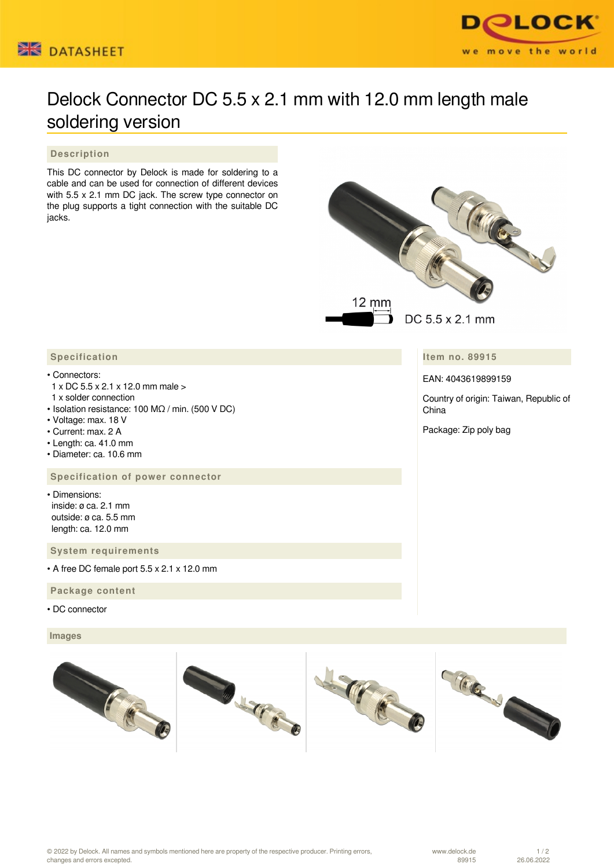



# Delock Connector DC 5.5 x 2.1 mm with 12.0 mm length male soldering version

### **Description**

This DC connector by Delock is made for soldering to a cable and can be used for connection of different devices with 5.5 x 2.1 mm DC jack. The screw type connector on the plug supports a tight connection with the suitable DC jacks.



**Item no. 89915**

EAN: 4043619899159

Country of origin: Taiwan, Republic of China

Package: Zip poly bag

## **Specification**

#### • Connectors:

- 1 x DC 5.5 x 2.1 x 12.0 mm male >
- 1 x solder connection
- Isolation resistance: 100 MΩ / min. (500 V DC)
- Voltage: max. 18 V
- Current: max. 2 A
- Length: ca. 41.0 mm
- Diameter: ca. 10.6 mm

#### **Specification of power connector**

• Dimensions: inside: ø ca. 2.1 mm outside: ø ca. 5.5 mm length: ca. 12.0 mm

 **System requirements**

• A free DC female port 5.5 x 2.1 x 12.0 mm

#### **Package content**

• DC connector

#### **Images**